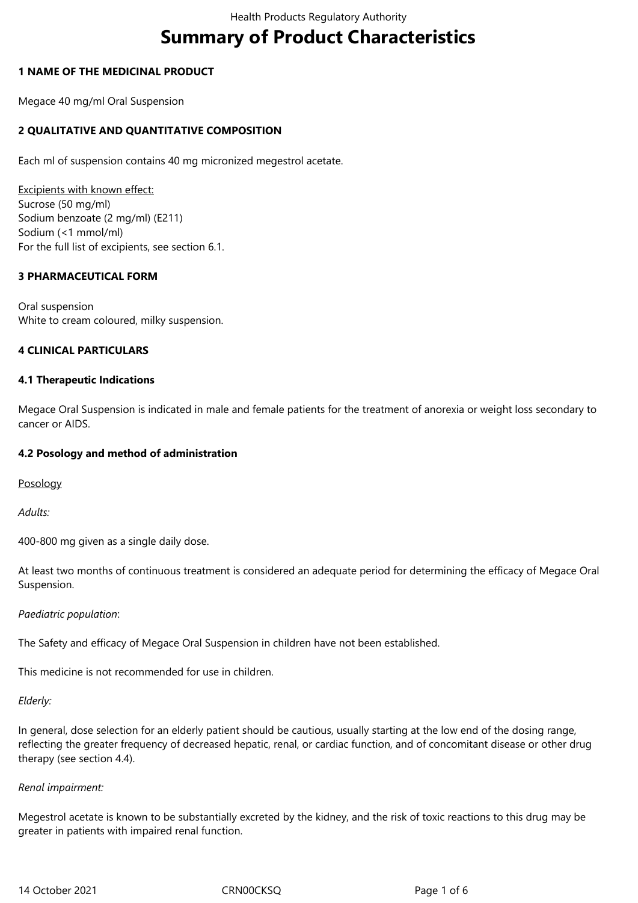# **Summary of Product Characteristics**

#### **1 NAME OF THE MEDICINAL PRODUCT**

Megace 40 mg/ml Oral Suspension

# **2 QUALITATIVE AND QUANTITATIVE COMPOSITION**

Each ml of suspension contains 40 mg micronized megestrol acetate.

Excipients with known effect: Sucrose (50 mg/ml) Sodium benzoate (2 mg/ml) (E211) Sodium (<1 mmol/ml) For the full list of excipients, see section 6.1.

#### **3 PHARMACEUTICAL FORM**

Oral suspension White to cream coloured, milky suspension.

#### **4 CLINICAL PARTICULARS**

#### **4.1 Therapeutic Indications**

Megace Oral Suspension is indicated in male and female patients for the treatment of anorexia or weight loss secondary to cancer or AIDS.

#### **4.2 Posology and method of administration**

Posology

*Adults:*

400-800 mg given as a single daily dose.

At least two months of continuous treatment is considered an adequate period for determining the efficacy of Megace Oral Suspension.

#### *Paediatric population*:

The Safety and efficacy of Megace Oral Suspension in children have not been established.

This medicine is not recommended for use in children.

#### *Elderly:*

In general, dose selection for an elderly patient should be cautious, usually starting at the low end of the dosing range, reflecting the greater frequency of decreased hepatic, renal, or cardiac function, and of concomitant disease or other drug therapy (see section 4.4).

#### *Renal impairment:*

Megestrol acetate is known to be substantially excreted by the kidney, and the risk of toxic reactions to this drug may be greater in patients with impaired renal function.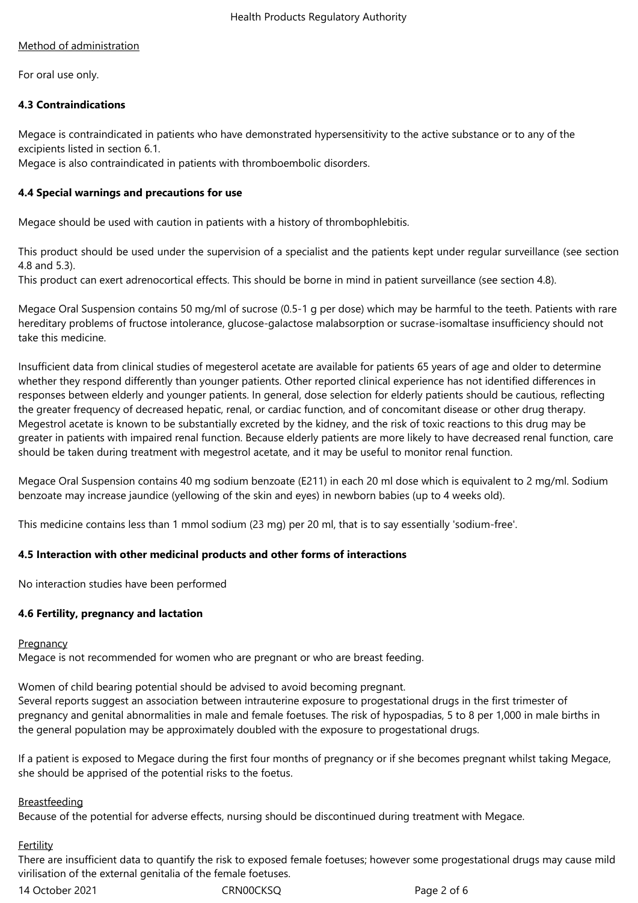# Method of administration

For oral use only.

# **4.3 Contraindications**

Megace is contraindicated in patients who have demonstrated hypersensitivity to the active substance or to any of the excipients listed in section 6.1.

Megace is also contraindicated in patients with thromboembolic disorders.

# **4.4 Special warnings and precautions for use**

Megace should be used with caution in patients with a history of thrombophlebitis.

This product should be used under the supervision of a specialist and the patients kept under regular surveillance (see section 4.8 and 5.3).

This product can exert adrenocortical effects. This should be borne in mind in patient surveillance (see section 4.8).

Megace Oral Suspension contains 50 mg/ml of sucrose (0.5-1 g per dose) which may be harmful to the teeth. Patients with rare hereditary problems of fructose intolerance, glucose-galactose malabsorption or sucrase-isomaltase insufficiency should not take this medicine.

Insufficient data from clinical studies of megesterol acetate are available for patients 65 years of age and older to determine whether they respond differently than younger patients. Other reported clinical experience has not identified differences in responses between elderly and younger patients. In general, dose selection for elderly patients should be cautious, reflecting the greater frequency of decreased hepatic, renal, or cardiac function, and of concomitant disease or other drug therapy. Megestrol acetate is known to be substantially excreted by the kidney, and the risk of toxic reactions to this drug may be greater in patients with impaired renal function. Because elderly patients are more likely to have decreased renal function, care should be taken during treatment with megestrol acetate, and it may be useful to monitor renal function.

Megace Oral Suspension contains 40 mg sodium benzoate (E211) in each 20 ml dose which is equivalent to 2 mg/ml. Sodium benzoate may increase jaundice (yellowing of the skin and eyes) in newborn babies (up to 4 weeks old).

This medicine contains less than 1 mmol sodium (23 mg) per 20 ml, that is to say essentially 'sodium-free'.

# **4.5 Interaction with other medicinal products and other forms of interactions**

No interaction studies have been performed

#### **4.6 Fertility, pregnancy and lactation**

#### **Pregnancy**

Megace is not recommended for women who are pregnant or who are breast feeding.

Women of child bearing potential should be advised to avoid becoming pregnant.

Several reports suggest an association between intrauterine exposure to progestational drugs in the first trimester of pregnancy and genital abnormalities in male and female foetuses. The risk of hypospadias, 5 to 8 per 1,000 in male births in the general population may be approximately doubled with the exposure to progestational drugs.

If a patient is exposed to Megace during the first four months of pregnancy or if she becomes pregnant whilst taking Megace, she should be apprised of the potential risks to the foetus.

#### **Breastfeeding**

Because of the potential for adverse effects, nursing should be discontinued during treatment with Megace.

# Fertility

There are insufficient data to quantify the risk to exposed female foetuses; however some progestational drugs may cause mild virilisation of the external genitalia of the female foetuses.

14 October 2021 CRN00CKSQ Page 2 of 6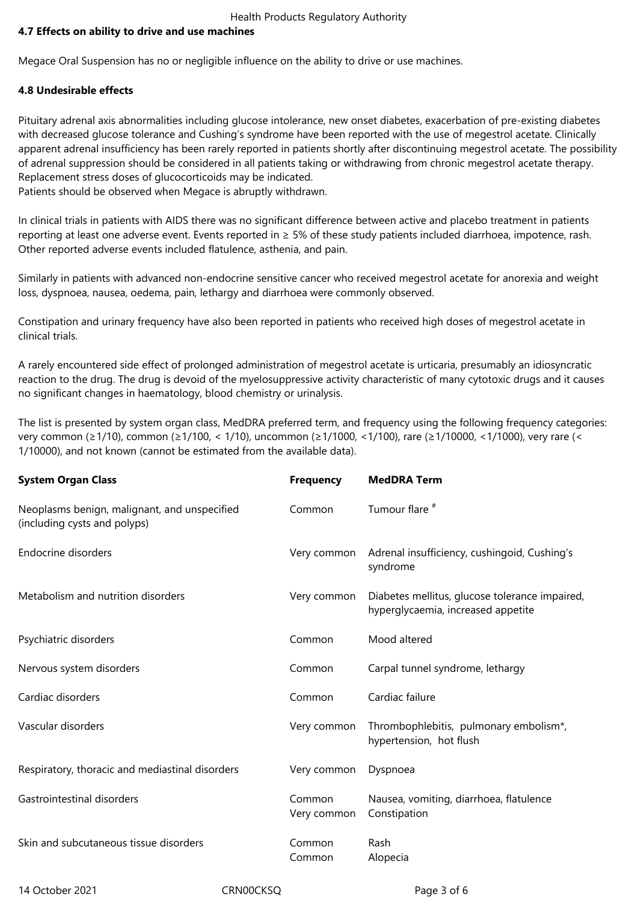Health Products Regulatory Authority

# **4.7 Effects on ability to drive and use machines**

Megace Oral Suspension has no or negligible influence on the ability to drive or use machines.

# **4.8 Undesirable effects**

Pituitary adrenal axis abnormalities including glucose intolerance, new onset diabetes, exacerbation of pre-existing diabetes with decreased glucose tolerance and Cushing's syndrome have been reported with the use of megestrol acetate. Clinically apparent adrenal insufficiency has been rarely reported in patients shortly after discontinuing megestrol acetate. The possibility of adrenal suppression should be considered in all patients taking or withdrawing from chronic megestrol acetate therapy. Replacement stress doses of glucocorticoids may be indicated.

Patients should be observed when Megace is abruptly withdrawn.

In clinical trials in patients with AIDS there was no significant difference between active and placebo treatment in patients reporting at least one adverse event. Events reported in ≥ 5% of these study patients included diarrhoea, impotence, rash. Other reported adverse events included flatulence, asthenia, and pain.

Similarly in patients with advanced non-endocrine sensitive cancer who received megestrol acetate for anorexia and weight loss, dyspnoea, nausea, oedema, pain, lethargy and diarrhoea were commonly observed.

Constipation and urinary frequency have also been reported in patients who received high doses of megestrol acetate in clinical trials.

A rarely encountered side effect of prolonged administration of megestrol acetate is urticaria, presumably an idiosyncratic reaction to the drug. The drug is devoid of the myelosuppressive activity characteristic of many cytotoxic drugs and it causes no significant changes in haematology, blood chemistry or urinalysis.

The list is presented by system organ class, MedDRA preferred term, and frequency using the following frequency categories: very common (≥1/10), common (≥1/100, < 1/10), uncommon (≥1/1000, <1/100), rare (≥1/10000, <1/1000), very rare (< 1/10000), and not known (cannot be estimated from the available data).

| <b>System Organ Class</b>                                                    | <b>Frequency</b>      | <b>MedDRA Term</b>                                                                   |
|------------------------------------------------------------------------------|-----------------------|--------------------------------------------------------------------------------------|
| Neoplasms benign, malignant, and unspecified<br>(including cysts and polyps) | Common                | Tumour flare <sup>#</sup>                                                            |
| <b>Endocrine disorders</b>                                                   | Very common           | Adrenal insufficiency, cushingoid, Cushing's<br>syndrome                             |
| Metabolism and nutrition disorders                                           | Very common           | Diabetes mellitus, glucose tolerance impaired,<br>hyperglycaemia, increased appetite |
| Psychiatric disorders                                                        | Common                | Mood altered                                                                         |
| Nervous system disorders                                                     | Common                | Carpal tunnel syndrome, lethargy                                                     |
| Cardiac disorders                                                            | Common                | Cardiac failure                                                                      |
| Vascular disorders                                                           | Very common           | Thrombophlebitis, pulmonary embolism*,<br>hypertension, hot flush                    |
| Respiratory, thoracic and mediastinal disorders                              | Very common           | Dyspnoea                                                                             |
| Gastrointestinal disorders                                                   | Common<br>Very common | Nausea, vomiting, diarrhoea, flatulence<br>Constipation                              |
| Skin and subcutaneous tissue disorders                                       | Common<br>Common      | Rash<br>Alopecia                                                                     |

14 October 2021 CRN00CKSQ Page 3 of 6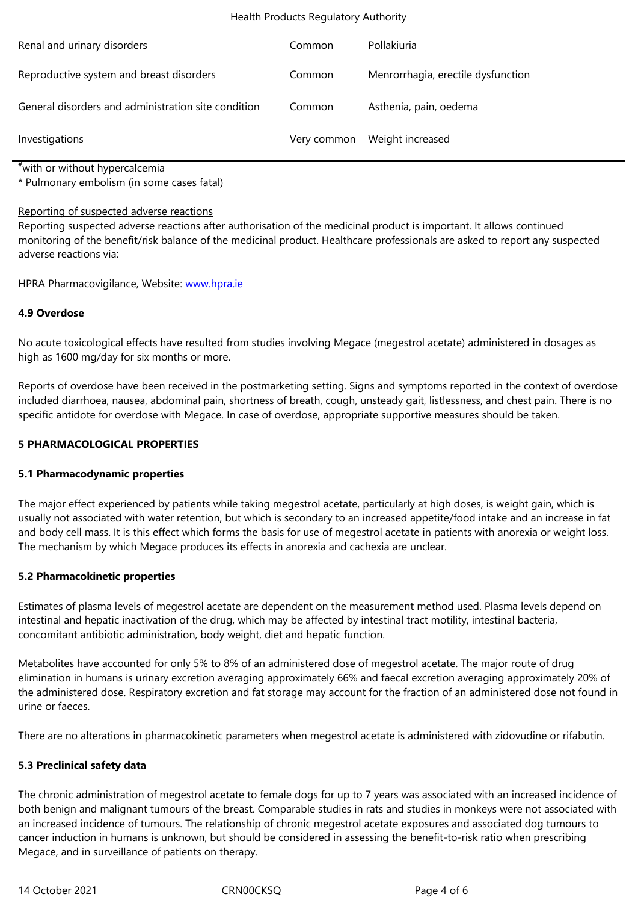| Reproductive system and breast disorders            | Common | Menrorrhagia, erectile dysfunction |
|-----------------------------------------------------|--------|------------------------------------|
| General disorders and administration site condition | Common | Asthenia, pain, oedema             |
| Investigations                                      |        | Very common Weight increased       |

#with or without hypercalcemia

\* Pulmonary embolism (in some cases fatal)

#### Reporting of suspected adverse reactions

Reporting suspected adverse reactions after authorisation of the medicinal product is important. It allows continued monitoring of the benefit/risk balance of the medicinal product. Healthcare professionals are asked to report any suspected adverse reactions via:

HPRA Pharmacovigilance, Website: www.hpra.ie

# **4.9 Overdose**

No acute toxicological effects have [resulted from](http://www.hpra.ie/) studies involving Megace (megestrol acetate) administered in dosages as high as 1600 mg/day for six months or more.

Reports of overdose have been received in the postmarketing setting. Signs and symptoms reported in the context of overdose included diarrhoea, nausea, abdominal pain, shortness of breath, cough, unsteady gait, listlessness, and chest pain. There is no specific antidote for overdose with Megace. In case of overdose, appropriate supportive measures should be taken.

#### **5 PHARMACOLOGICAL PROPERTIES**

#### **5.1 Pharmacodynamic properties**

The major effect experienced by patients while taking megestrol acetate, particularly at high doses, is weight gain, which is usually not associated with water retention, but which is secondary to an increased appetite/food intake and an increase in fat and body cell mass. It is this effect which forms the basis for use of megestrol acetate in patients with anorexia or weight loss. The mechanism by which Megace produces its effects in anorexia and cachexia are unclear.

#### **5.2 Pharmacokinetic properties**

Estimates of plasma levels of megestrol acetate are dependent on the measurement method used. Plasma levels depend on intestinal and hepatic inactivation of the drug, which may be affected by intestinal tract motility, intestinal bacteria, concomitant antibiotic administration, body weight, diet and hepatic function.

Metabolites have accounted for only 5% to 8% of an administered dose of megestrol acetate. The major route of drug elimination in humans is urinary excretion averaging approximately 66% and faecal excretion averaging approximately 20% of the administered dose. Respiratory excretion and fat storage may account for the fraction of an administered dose not found in urine or faeces.

There are no alterations in pharmacokinetic parameters when megestrol acetate is administered with zidovudine or rifabutin.

# **5.3 Preclinical safety data**

The chronic administration of megestrol acetate to female dogs for up to 7 years was associated with an increased incidence of both benign and malignant tumours of the breast. Comparable studies in rats and studies in monkeys were not associated with an increased incidence of tumours. The relationship of chronic megestrol acetate exposures and associated dog tumours to cancer induction in humans is unknown, but should be considered in assessing the benefit-to-risk ratio when prescribing Megace, and in surveillance of patients on therapy.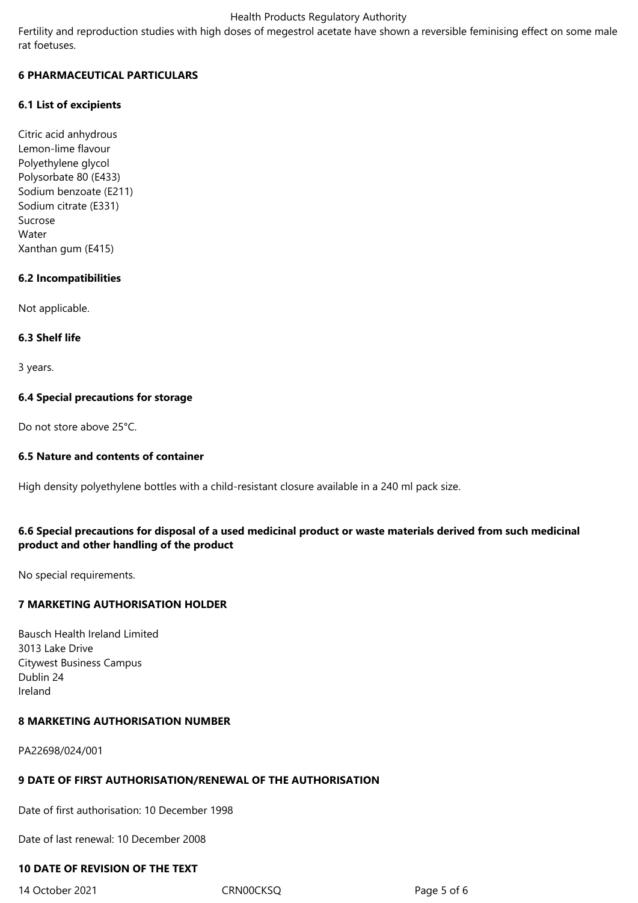#### Health Products Regulatory Authority

Fertility and reproduction studies with high doses of megestrol acetate have shown a reversible feminising effect on some male rat foetuses.

# **6 PHARMACEUTICAL PARTICULARS**

## **6.1 List of excipients**

Citric acid anhydrous Lemon-lime flavour Polyethylene glycol Polysorbate 80 (E433) Sodium benzoate (E211) Sodium citrate (E331) Sucrose Water Xanthan gum (E415)

# **6.2 Incompatibilities**

Not applicable.

#### **6.3 Shelf life**

3 years.

# **6.4 Special precautions for storage**

Do not store above 25°C.

## **6.5 Nature and contents of container**

High density polyethylene bottles with a child-resistant closure available in a 240 ml pack size.

# **6.6 Special precautions for disposal of a used medicinal product or waste materials derived from such medicinal product and other handling of the product**

No special requirements.

# **7 MARKETING AUTHORISATION HOLDER**

Bausch Health Ireland Limited 3013 Lake Drive Citywest Business Campus Dublin 24 Ireland

# **8 MARKETING AUTHORISATION NUMBER**

PA22698/024/001

# **9 DATE OF FIRST AUTHORISATION/RENEWAL OF THE AUTHORISATION**

Date of first authorisation: 10 December 1998

Date of last renewal: 10 December 2008

# **10 DATE OF REVISION OF THE TEXT**

14 October 2021 CRN00CKSQ Page 5 of 6